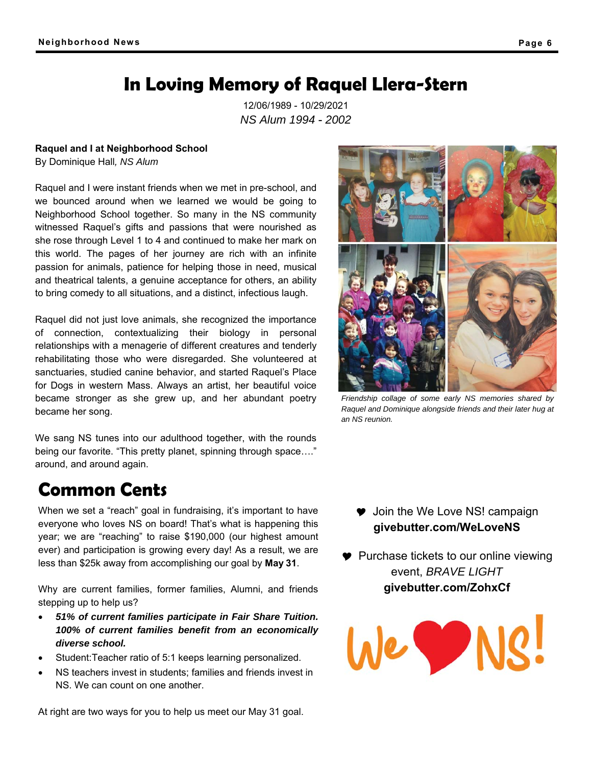# **In Loving Memory of Raquel Llera-Stern**

12/06/1989 - 10/29/2021 *NS Alum 1994* - *2002*

**Raquel and I at Neighborhood School** 

By Dominique Hall*, NS Alum* 

Raquel and I were instant friends when we met in pre-school, and we bounced around when we learned we would be going to Neighborhood School together. So many in the NS community witnessed Raquel's gifts and passions that were nourished as she rose through Level 1 to 4 and continued to make her mark on this world. The pages of her journey are rich with an infinite passion for animals, patience for helping those in need, musical and theatrical talents, a genuine acceptance for others, an ability to bring comedy to all situations, and a distinct, infectious laugh.

Raquel did not just love animals, she recognized the importance of connection, contextualizing their biology in personal relationships with a menagerie of different creatures and tenderly rehabilitating those who were disregarded. She volunteered at sanctuaries, studied canine behavior, and started Raquel's Place for Dogs in western Mass. Always an artist, her beautiful voice became stronger as she grew up, and her abundant poetry became her song.

We sang NS tunes into our adulthood together, with the rounds being our favorite. "This pretty planet, spinning through space…." around, and around again.

# **Common Cents**

When we set a "reach" goal in fundraising, it's important to have everyone who loves NS on board! That's what is happening this year; we are "reaching" to raise \$190,000 (our highest amount ever) and participation is growing every day! As a result, we are less than \$25k away from accomplishing our goal by **May 31**.

Why are current families, former families, Alumni, and friends stepping up to help us?

- *51% of current families participate in Fair Share Tuition. 100% of current families benefit from an economically diverse school.*
- Student:Teacher ratio of 5:1 keeps learning personalized.
- NS teachers invest in students; families and friends invest in NS. We can count on one another.

At right are two ways for you to help us meet our May 31 goal.

*Friendship collage of some early NS memories shared by* 

*Raquel and Dominique alongside friends and their later hug at an NS reunion.* 

**♥** Join the We Love NS! campaign **givebutter.com/WeLoveNS** 

**Purchase tickets to our online viewing** event, *BRAVE LIGHT* **givebutter.com/ZohxCf**



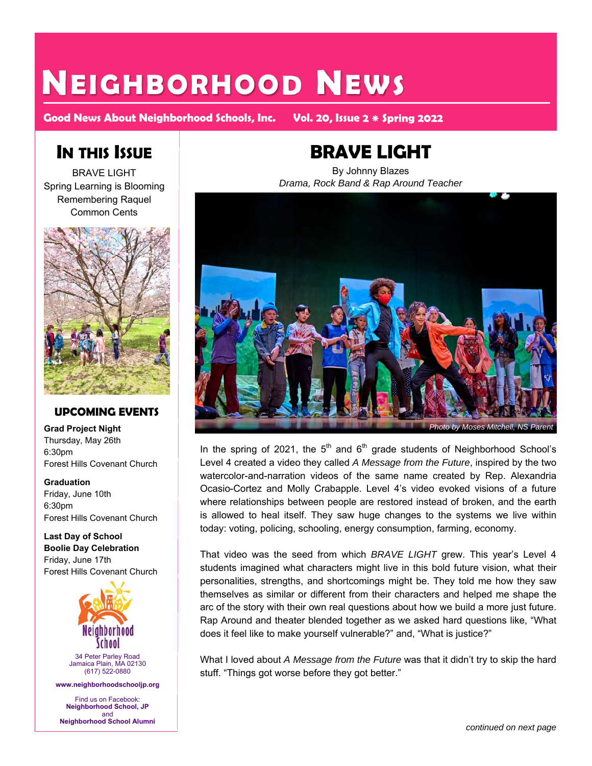# **NEIGHBORHOOD NEWS**

**Good News About Neighborhood Schools, Inc. Vol. 20 Issue** 

## **IN THIS ISSUE**

BRAVE LIGHT Spring Learning is Blooming Remembering Raquel Common Cents



#### **UPCOMING EVENTS**

**Grad Project Night**  Thursday, May 26th 6:30pm Forest Hills Covenant Church

**Graduation**  Friday, June 10th 6:30pm Forest Hills Covenant Church

**Last Day of School Boolie Day Celebration**  Friday, June 17th Forest Hills Covenant Church



34 Peter Parley Road Jamaica Plain, MA 02130 (617) 522-0880

**www.neighborhoodschooljp.org**

Find us on Facebook: **Neighborhood School, JP**  and **Neighborhood School Alumni**

# **BRAVE LIGHT**

By Johnny Blazes *Drama, Rock Band & Rap Around Teacher* 



In the spring of 2021, the  $5<sup>th</sup>$  and  $6<sup>th</sup>$  grade students of Neighborhood School's Level 4 created a video they called *A Message from the Future*, inspired by the two watercolor-and-narration videos of the same name created by Rep. Alexandria Ocasio-Cortez and Molly Crabapple. Level 4's video evoked visions of a future where relationships between people are restored instead of broken, and the earth is allowed to heal itself. They saw huge changes to the systems we live within today: voting, policing, schooling, energy consumption, farming, economy.

That video was the seed from which *BRAVE LIGHT* grew. This year's Level 4 students imagined what characters might live in this bold future vision, what their personalities, strengths, and shortcomings might be. They told me how they saw themselves as similar or different from their characters and helped me shape the arc of the story with their own real questions about how we build a more just future. Rap Around and theater blended together as we asked hard questions like, "What does it feel like to make yourself vulnerable?" and, "What is justice?"

What I loved about *A Message from the Future* was that it didn't try to skip the hard stuff. "Things got worse before they got better."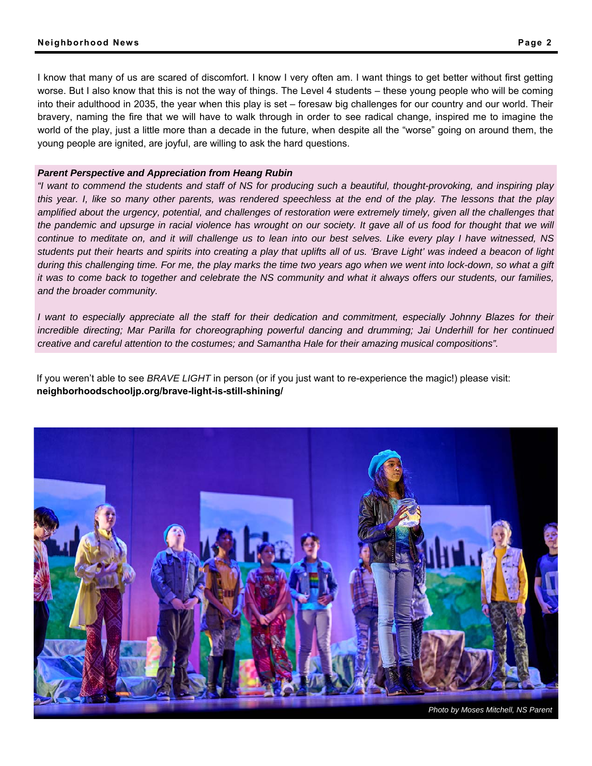I know that many of us are scared of discomfort. I know I very often am. I want things to get better without first getting worse. But I also know that this is not the way of things. The Level 4 students – these young people who will be coming into their adulthood in 2035, the year when this play is set – foresaw big challenges for our country and our world. Their bravery, naming the fire that we will have to walk through in order to see radical change, inspired me to imagine the world of the play, just a little more than a decade in the future, when despite all the "worse" going on around them, the young people are ignited, are joyful, are willing to ask the hard questions.

#### *Parent Perspective and Appreciation from Heang Rubin*

*"I want to commend the students and staff of NS for producing such a beautiful, thought-provoking, and inspiring play this year. I, like so many other parents, was rendered speechless at the end of the play. The lessons that the play*  amplified about the urgency, potential, and challenges of restoration were extremely timely, given all the challenges that *the pandemic and upsurge in racial violence has wrought on our society. It gave all of us food for thought that we will continue to meditate on, and it will challenge us to lean into our best selves. Like every play I have witnessed, NS students put their hearts and spirits into creating a play that uplifts all of us. 'Brave Light' was indeed a beacon of light during this challenging time. For me, the play marks the time two years ago when we went into lock-down, so what a gift it was to come back to together and celebrate the NS community and what it always offers our students, our families, and the broader community.* 

*I* want to especially appreciate all the staff for their dedication and commitment, especially Johnny Blazes for their incredible directing; Mar Parilla for choreographing powerful dancing and drumming; Jai Underhill for her continued *creative and careful attention to the costumes; and Samantha Hale for their amazing musical compositions".* 

If you weren't able to see *BRAVE LIGHT* in person (or if you just want to re-experience the magic!) please visit: **neighborhoodschooljp.org/brave-light-is-still-shining/** 

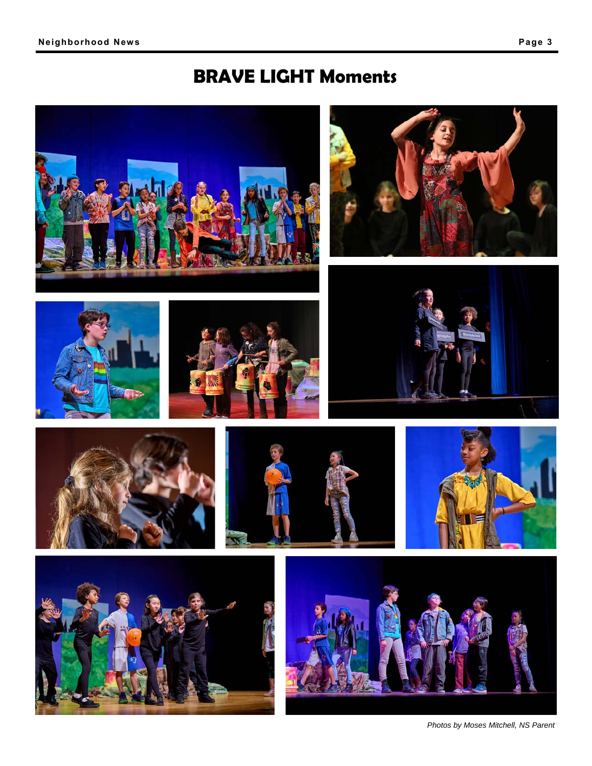# **BRAVE LIGHT Moments**



*Photos by Moses Mitchell, NS Parent*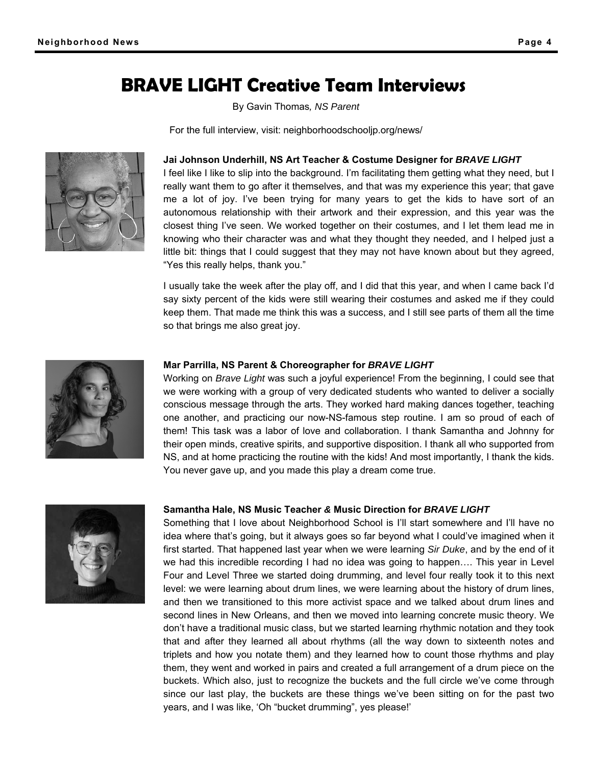## **BRAVE LIGHT Creative Team Interviews**

By Gavin Thomas*, NS Parent*

For the full interview, visit: neighborhoodschooljp.org/news/



#### **Jai Johnson Underhill, NS Art Teacher & Costume Designer for** *BRAVE LIGHT*

I feel like I like to slip into the background. I'm facilitating them getting what they need, but I really want them to go after it themselves, and that was my experience this year; that gave me a lot of joy. I've been trying for many years to get the kids to have sort of an autonomous relationship with their artwork and their expression, and this year was the closest thing I've seen. We worked together on their costumes, and I let them lead me in knowing who their character was and what they thought they needed, and I helped just a little bit: things that I could suggest that they may not have known about but they agreed, "Yes this really helps, thank you."

I usually take the week after the play off, and I did that this year, and when I came back I'd say sixty percent of the kids were still wearing their costumes and asked me if they could keep them. That made me think this was a success, and I still see parts of them all the time so that brings me also great joy.



#### **Mar Parrilla, NS Parent & Choreographer for** *BRAVE LIGHT*

Working on *Brave Light* was such a joyful experience! From the beginning, I could see that we were working with a group of very dedicated students who wanted to deliver a socially conscious message through the arts. They worked hard making dances together, teaching one another, and practicing our now-NS-famous step routine. I am so proud of each of them! This task was a labor of love and collaboration. I thank Samantha and Johnny for their open minds, creative spirits, and supportive disposition. I thank all who supported from NS, and at home practicing the routine with the kids! And most importantly, I thank the kids. You never gave up, and you made this play a dream come true.



#### **Samantha Hale, NS Music Teacher** *&* **Music Direction for** *BRAVE LIGHT*

Something that I love about Neighborhood School is I'll start somewhere and I'll have no idea where that's going, but it always goes so far beyond what I could've imagined when it first started. That happened last year when we were learning *Sir Duke*, and by the end of it we had this incredible recording I had no idea was going to happen…. This year in Level Four and Level Three we started doing drumming, and level four really took it to this next level: we were learning about drum lines, we were learning about the history of drum lines, and then we transitioned to this more activist space and we talked about drum lines and second lines in New Orleans, and then we moved into learning concrete music theory. We don't have a traditional music class, but we started learning rhythmic notation and they took that and after they learned all about rhythms (all the way down to sixteenth notes and triplets and how you notate them) and they learned how to count those rhythms and play them, they went and worked in pairs and created a full arrangement of a drum piece on the buckets. Which also, just to recognize the buckets and the full circle we've come through since our last play, the buckets are these things we've been sitting on for the past two years, and I was like, 'Oh "bucket drumming", yes please!'